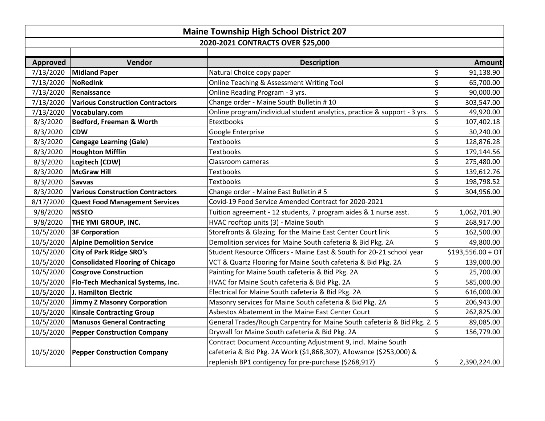|                                   | <b>Maine Township High School District 207</b> |                                                                          |                         |                    |  |
|-----------------------------------|------------------------------------------------|--------------------------------------------------------------------------|-------------------------|--------------------|--|
| 2020-2021 CONTRACTS OVER \$25,000 |                                                |                                                                          |                         |                    |  |
|                                   |                                                |                                                                          |                         |                    |  |
| <b>Approved</b>                   | Vendor                                         | <b>Description</b>                                                       |                         | <b>Amount</b>      |  |
| 7/13/2020                         | <b>Midland Paper</b>                           | Natural Choice copy paper                                                | \$                      | 91,138.90          |  |
| 7/13/2020                         | NoRedInk                                       | Online Teaching & Assessment Writing Tool                                | \$                      | 65,700.00          |  |
| 7/13/2020                         | Renaissance                                    | Online Reading Program - 3 yrs.                                          | \$                      | 90,000.00          |  |
| 7/13/2020                         | <b>Various Construction Contractors</b>        | Change order - Maine South Bulletin #10                                  | \$                      | 303,547.00         |  |
| 7/13/2020                         | Vocabulary.com                                 | Online program/individual student analytics, practice & support - 3 yrs. | \$                      | 49,920.00          |  |
| 8/3/2020                          | Bedford, Freeman & Worth                       | Etextbooks                                                               | \$                      | 107,402.18         |  |
| 8/3/2020                          | <b>CDW</b>                                     | Google Enterprise                                                        | \$                      | 30,240.00          |  |
| 8/3/2020                          | <b>Cengage Learning (Gale)</b>                 | <b>Textbooks</b>                                                         | \$                      | 128,876.28         |  |
| 8/3/2020                          | <b>Houghton Mifflin</b>                        | <b>Textbooks</b>                                                         | \$                      | 179,144.56         |  |
| 8/3/2020                          | Logitech (CDW)                                 | Classroom cameras                                                        | \$                      | 275,480.00         |  |
| 8/3/2020                          | <b>McGraw Hill</b>                             | <b>Textbooks</b>                                                         | \$                      | 139,612.76         |  |
| 8/3/2020                          | <b>Savvas</b>                                  | <b>Textbooks</b>                                                         | \$                      | 198,798.52         |  |
| 8/3/2020                          | <b>Various Construction Contractors</b>        | Change order - Maine East Bulletin # 5                                   | \$                      | 304,956.00         |  |
| 8/17/2020                         | <b>Quest Food Management Services</b>          | Covid-19 Food Service Amended Contract for 2020-2021                     |                         |                    |  |
| 9/8/2020                          | <b>NSSEO</b>                                   | Tuition agreement - 12 students, 7 program aides & 1 nurse asst.         | \$                      | 1,062,701.90       |  |
| 9/8/2020                          | THE YMI GROUP, INC.                            | HVAC rooftop units (3) - Maine South                                     | \$                      | 268,917.00         |  |
| 10/5/2020                         | <b>3F Corporation</b>                          | Storefronts & Glazing for the Maine East Center Court link               | \$                      | 162,500.00         |  |
| 10/5/2020                         | <b>Alpine Demolition Service</b>               | Demolition services for Maine South cafeteria & Bid Pkg. 2A              | \$                      | 49,800.00          |  |
| 10/5/2020                         | <b>City of Park Ridge SRO's</b>                | Student Resource Officers - Maine East & South for 20-21 school year     |                         | $$193,556.00 + OT$ |  |
| 10/5/2020                         | <b>Consolidated Flooring of Chicago</b>        | VCT & Quartz Flooring for Maine South cafeteria & Bid Pkg. 2A            | \$                      | 139,000.00         |  |
| 10/5/2020                         | <b>Cosgrove Construction</b>                   | Painting for Maine South cafeteria & Bid Pkg. 2A                         | \$                      | 25,700.00          |  |
| 10/5/2020                         | Flo-Tech Mechanical Systems, Inc.              | HVAC for Maine South cafeteria & Bid Pkg. 2A                             | \$                      | 585,000.00         |  |
| 10/5/2020                         | J. Hamilton Electric                           | Electrical for Maine South cafeteria & Bid Pkg. 2A                       | \$                      | 616,000.00         |  |
| 10/5/2020                         | <b>Jimmy Z Masonry Corporation</b>             | Masonry services for Maine South cafeteria & Bid Pkg. 2A                 | \$                      | 206,943.00         |  |
| 10/5/2020                         | <b>Kinsale Contracting Group</b>               | Asbestos Abatement in the Maine East Center Court                        | $\overline{\mathsf{S}}$ | 262,825.00         |  |
| 10/5/2020                         | <b>Manusos General Contracting</b>             | General Trades/Rough Carpentry for Maine South cafeteria & Bid Pkg. 2    | $\overline{\xi}$        | 89,085.00          |  |
| 10/5/2020                         | <b>Pepper Construction Company</b>             | Drywall for Maine South cafeteria & Bid Pkg. 2A                          | \$                      | 156,779.00         |  |
|                                   |                                                | Contract Document Accounting Adjustment 9, incl. Maine South             |                         |                    |  |
| 10/5/2020                         | <b>Pepper Construction Company</b>             | cafeteria & Bid Pkg. 2A Work (\$1,868,307), Allowance (\$253,000) &      |                         |                    |  |
|                                   |                                                | replenish BP1 contigency for pre-purchase (\$268,917)                    | \$                      | 2,390,224.00       |  |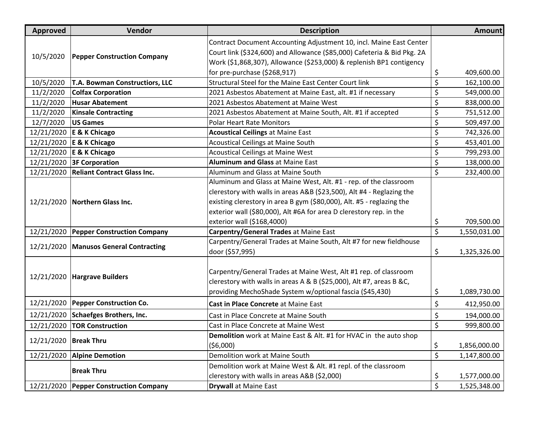| <b>Approved</b> | Vendor                                   | <b>Description</b>                                                      | <b>Amount</b>      |
|-----------------|------------------------------------------|-------------------------------------------------------------------------|--------------------|
| 10/5/2020       |                                          | Contract Document Accounting Adjustment 10, incl. Maine East Center     |                    |
|                 |                                          | Court link (\$324,600) and Allowance (\$85,000) Cafeteria & Bid Pkg. 2A |                    |
|                 | <b>Pepper Construction Company</b>       | Work (\$1,868,307), Allowance (\$253,000) & replenish BP1 contigency    |                    |
|                 |                                          | for pre-purchase (\$268,917)                                            | \$<br>409,600.00   |
| 10/5/2020       | T.A. Bowman Constructiors, LLC           | Structural Steel for the Maine East Center Court link                   | \$<br>162,100.00   |
| 11/2/2020       | <b>Colfax Corporation</b>                | 2021 Asbestos Abatement at Maine East, alt. #1 if necessary             | \$<br>549,000.00   |
| 11/2/2020       | <b>Husar Abatement</b>                   | 2021 Asbestos Abatement at Maine West                                   | \$<br>838,000.00   |
| 11/2/2020       | <b>Kinsale Contracting</b>               | 2021 Asbestos Abatement at Maine South, Alt. #1 if accepted             | \$<br>751,512.00   |
| 12/7/2020       | <b>US Games</b>                          | <b>Polar Heart Rate Monitors</b>                                        | \$<br>509,497.00   |
|                 | 12/21/2020 E & K Chicago                 | <b>Acoustical Ceilings at Maine East</b>                                | \$<br>742,326.00   |
|                 | 12/21/2020 E & K Chicago                 | <b>Acoustical Ceilings at Maine South</b>                               | \$<br>453,401.00   |
|                 | 12/21/2020 E & K Chicago                 | <b>Acoustical Ceilings at Maine West</b>                                | \$<br>799,293.00   |
|                 | 12/21/2020 3F Corporation                | <b>Aluminum and Glass at Maine East</b>                                 | \$<br>138,000.00   |
|                 | 12/21/2020   Reliant Contract Glass Inc. | Aluminum and Glass at Maine South                                       | \$<br>232,400.00   |
|                 |                                          | Aluminum and Glass at Maine West, Alt. #1 - rep. of the classroom       |                    |
|                 | <b>Northern Glass Inc.</b>               | clerestory with walls in areas A&B (\$23,500), Alt #4 - Reglazing the   |                    |
| 12/21/2020      |                                          | existing clerestory in area B gym (\$80,000), Alt. #5 - reglazing the   |                    |
|                 |                                          | exterior wall (\$80,000), Alt #6A for area D clerestory rep. in the     |                    |
|                 |                                          | exterior wall (\$168,4000)                                              | \$<br>709,500.00   |
| 12/21/2020      | <b>Pepper Construction Company</b>       | Carpentry/General Trades at Maine East                                  | \$<br>1,550,031.00 |
| 12/21/2020      | <b>Manusos General Contracting</b>       | Carpentry/General Trades at Maine South, Alt #7 for new fieldhouse      |                    |
|                 |                                          | door (\$57,995)                                                         | \$<br>1,325,326.00 |
|                 | <b>Hargrave Builders</b>                 |                                                                         |                    |
| 12/21/2020      |                                          | Carpentry/General Trades at Maine West, Alt #1 rep. of classroom        |                    |
|                 |                                          | clerestory with walls in areas A & B (\$25,000), Alt #7, areas B &C,    |                    |
|                 |                                          | providing MechoShade System w/optional fascia (\$45,430)                | \$<br>1,089,730.00 |
| 12/21/2020      | <b>Pepper Construction Co.</b>           | Cast in Place Concrete at Maine East                                    | \$<br>412,950.00   |
| 12/21/2020      | <b>Schaefges Brothers, Inc.</b>          | Cast in Place Concrete at Maine South                                   | \$<br>194,000.00   |
|                 | 12/21/2020   TOR Construction            | Cast in Place Concrete at Maine West                                    | \$<br>999,800.00   |
| 12/21/2020      | <b>Break Thru</b>                        | Demolition work at Maine East & Alt. #1 for HVAC in the auto shop       |                    |
|                 |                                          | (56,000)                                                                | \$<br>1,856,000.00 |
| 12/21/2020      | <b>Alpine Demotion</b>                   | Demolition work at Maine South                                          | \$<br>1,147,800.00 |
|                 | <b>Break Thru</b>                        | Demolition work at Maine West & Alt. #1 repl. of the classroom          |                    |
|                 |                                          | clerestory with walls in areas A&B (\$2,000)                            | \$<br>1,577,000.00 |
|                 | 12/21/2020 Pepper Construction Company   | <b>Drywall</b> at Maine East                                            | \$<br>1,525,348.00 |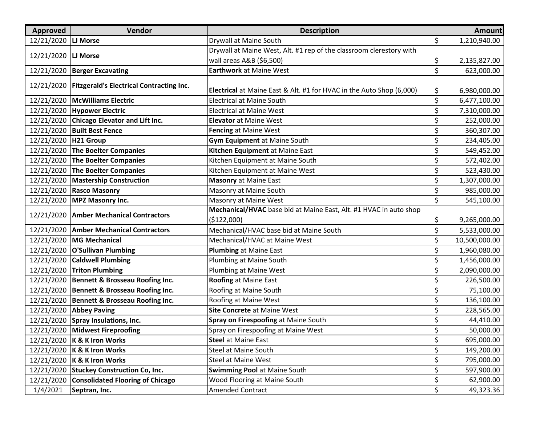| Approved               | Vendor                                                | <b>Description</b>                                                          |         | <b>Amount</b> |
|------------------------|-------------------------------------------------------|-----------------------------------------------------------------------------|---------|---------------|
| 12/21/2020             | <b>LJ Morse</b>                                       | Drywall at Maine South                                                      | \$      | 1,210,940.00  |
| 12/21/2020   LJ Morse  |                                                       | Drywall at Maine West, Alt. #1 rep of the classroom clerestory with         |         |               |
|                        |                                                       | wall areas A&B (\$6,500)                                                    | \$      | 2,135,827.00  |
| 12/21/2020             | <b>Berger Excavating</b>                              | <b>Earthwork at Maine West</b>                                              | \$      | 623,000.00    |
|                        | 12/21/2020   Fitzgerald's Electrical Contracting Inc. |                                                                             |         |               |
|                        |                                                       | <b>Electrical</b> at Maine East & Alt. #1 for HVAC in the Auto Shop (6,000) | \$      | 6,980,000.00  |
| 12/21/2020             | <b>McWilliams Electric</b>                            | <b>Electrical at Maine South</b>                                            | \$      | 6,477,100.00  |
|                        | 12/21/2020   Hypower Electric                         | <b>Electrical at Maine West</b>                                             | \$      | 7,310,000.00  |
| 12/21/2020             | <b>Chicago Elevator and Lift Inc.</b>                 | <b>Elevator at Maine West</b>                                               | \$      | 252,000.00    |
| 12/21/2020             | <b>Built Best Fence</b>                               | Fencing at Maine West                                                       | \$      | 360,307.00    |
| 12/21/2020   H21 Group |                                                       | Gym Equipment at Maine South                                                | \$      | 234,405.00    |
| 12/21/2020             | The Boelter Companies                                 | Kitchen Equipment at Maine East                                             | \$      | 549,452.00    |
| 12/21/2020             | <b>The Boelter Companies</b>                          | Kitchen Equipment at Maine South                                            | \$      | 572,402.00    |
|                        | 12/21/2020 The Boelter Companies                      | Kitchen Equipment at Maine West                                             | \$      | 523,430.00    |
| 12/21/2020             | <b>Mastership Construction</b>                        | <b>Masonry at Maine East</b>                                                | \$      | 1,307,000.00  |
|                        | 12/21/2020 Rasco Masonry                              | Masonry at Maine South                                                      | \$      | 985,000.00    |
| 12/21/2020             | <b>MPZ Masonry Inc.</b>                               | Masonry at Maine West                                                       | \$      | 545,100.00    |
| 12/21/2020             | <b>Amber Mechanical Contractors</b>                   | Mechanical/HVAC base bid at Maine East, Alt. #1 HVAC in auto shop           |         |               |
|                        |                                                       | (\$122,000)                                                                 | \$      | 9,265,000.00  |
| 12/21/2020             | <b>Amber Mechanical Contractors</b>                   | Mechanical/HVAC base bid at Maine South                                     | \$      | 5,533,000.00  |
| 12/21/2020             | <b>MG Mechanical</b>                                  | Mechanical/HVAC at Maine West                                               | \$      | 10,500,000.00 |
|                        | 12/21/2020   O'Sullivan Plumbing                      | <b>Plumbing at Maine East</b>                                               | \$      | 1,960,080.00  |
| 12/21/2020             | <b>Caldwell Plumbing</b>                              | Plumbing at Maine South                                                     | \$      | 1,456,000.00  |
| 12/21/2020             | <b>Triton Plumbing</b>                                | Plumbing at Maine West                                                      | \$      | 2,090,000.00  |
| 12/21/2020             | <b>Bennett &amp; Brosseau Roofing Inc.</b>            | <b>Roofing at Maine East</b>                                                | \$      | 226,500.00    |
|                        | 12/21/2020   Bennett & Brosseau Roofing Inc.          | Roofing at Maine South                                                      | \$      | 75,100.00     |
|                        | 12/21/2020   Bennett & Brosseau Roofing Inc.          | Roofing at Maine West                                                       | \$      | 136,100.00    |
|                        | 12/21/2020 Abbey Paving                               | <b>Site Concrete at Maine West</b>                                          | \$      | 228,565.00    |
|                        | 12/21/2020 Spray Insulations, Inc.                    | Spray on Firespoofing at Maine South                                        | \$      | 44,410.00     |
|                        | 12/21/2020 Midwest Fireproofing                       | Spray on Firespoofing at Maine West                                         | $\zeta$ | 50,000.00     |
|                        | 12/21/2020   K & K Iron Works                         | <b>Steel at Maine East</b>                                                  | \$      | 695,000.00    |
|                        | 12/21/2020   K & K Iron Works                         | Steel at Maine South                                                        | \$      | 149,200.00    |
|                        | 12/21/2020   K & K Iron Works                         | <b>Steel at Maine West</b>                                                  | \$      | 795,000.00    |
|                        | 12/21/2020 Stuckey Construction Co, Inc.              | <b>Swimming Pool at Maine South</b>                                         | \$      | 597,900.00    |
| 12/21/2020             | <b>Consolidated Flooring of Chicago</b>               | Wood Flooring at Maine South                                                | \$      | 62,900.00     |
| 1/4/2021               | Septran, Inc.                                         | <b>Amended Contract</b>                                                     | \$      | 49,323.36     |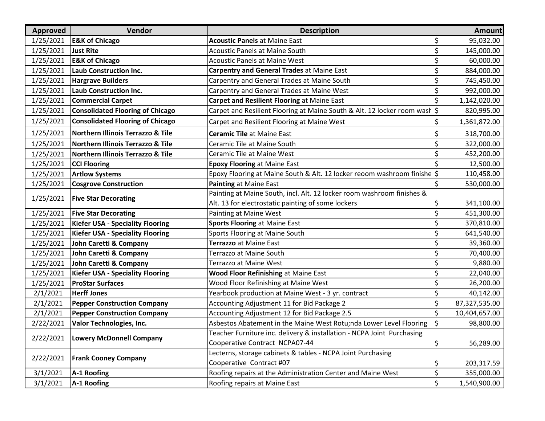| Approved  | Vendor                                       | <b>Description</b>                                                         | <b>Amount</b>       |
|-----------|----------------------------------------------|----------------------------------------------------------------------------|---------------------|
| 1/25/2021 | <b>E&amp;K of Chicago</b>                    | <b>Acoustic Panels at Maine East</b>                                       | \$<br>95,032.00     |
| 1/25/2021 | <b>Just Rite</b>                             | <b>Acoustic Panels at Maine South</b>                                      | \$<br>145,000.00    |
| 1/25/2021 | <b>E&amp;K of Chicago</b>                    | <b>Acoustic Panels at Maine West</b>                                       | \$<br>60,000.00     |
| 1/25/2021 | <b>Laub Construction Inc.</b>                | <b>Carpentry and General Trades at Maine East</b>                          | \$<br>884,000.00    |
| 1/25/2021 | <b>Hargrave Builders</b>                     | Carpentry and General Trades at Maine South                                | \$<br>745,450.00    |
| 1/25/2021 | <b>Laub Construction Inc.</b>                | Carpentry and General Trades at Maine West                                 | \$<br>992,000.00    |
| 1/25/2021 | <b>Commercial Carpet</b>                     | Carpet and Resilient Flooring at Maine East                                | \$<br>1,142,020.00  |
| 1/25/2021 | <b>Consolidated Flooring of Chicago</b>      | Carpet and Resilient Flooring at Maine South & Alt. 12 locker room wash \$ | 820,995.00          |
| 1/25/2021 | <b>Consolidated Flooring of Chicago</b>      | Carpet and Resilient Flooring at Maine West                                | \$<br>1,361,872.00  |
| 1/25/2021 | <b>Northern Illinois Terrazzo &amp; Tile</b> | <b>Ceramic Tile at Maine East</b>                                          | \$<br>318,700.00    |
| 1/25/2021 | <b>Northern Illinois Terrazzo &amp; Tile</b> | Ceramic Tile at Maine South                                                | \$<br>322,000.00    |
| 1/25/2021 | Northern Illinois Terrazzo & Tile            | Ceramic Tile at Maine West                                                 | \$<br>452,200.00    |
| 1/25/2021 | <b>CCI Flooring</b>                          | <b>Epoxy Flooring at Maine East</b>                                        | \$<br>12,500.00     |
| 1/25/2021 | <b>Artlow Systems</b>                        | Epoxy Flooring at Maine South & Alt. 12 locker reoom washroom finishe \$   | 110,458.00          |
| 1/25/2021 | <b>Cosgrove Construction</b>                 | Painting at Maine East                                                     | \$<br>530,000.00    |
| 1/25/2021 | <b>Five Star Decorating</b>                  | Painting at Maine South, incl. Alt. 12 locker room washroom finishes &     |                     |
|           |                                              | Alt. 13 for electrostatic painting of some lockers                         | \$<br>341,100.00    |
| 1/25/2021 | <b>Five Star Decorating</b>                  | Painting at Maine West                                                     | \$<br>451,300.00    |
| 1/25/2021 | <b>Kiefer USA - Speciality Flooring</b>      | Sports Flooring at Maine East                                              | \$<br>370,810.00    |
| 1/25/2021 | <b>Kiefer USA - Speciality Flooring</b>      | Sports Flooring at Maine South                                             | \$<br>641,540.00    |
| 1/25/2021 | John Caretti & Company                       | Terrazzo at Maine East                                                     | \$<br>39,360.00     |
| 1/25/2021 | John Caretti & Company                       | Terrazzo at Maine South                                                    | \$<br>70,400.00     |
| 1/25/2021 | John Caretti & Company                       | Terrazzo at Maine West                                                     | \$<br>9,880.00      |
| 1/25/2021 | <b>Kiefer USA - Speciality Flooring</b>      | <b>Wood Floor Refinishing at Maine East</b>                                | \$<br>22,040.00     |
| 1/25/2021 | <b>ProStar Surfaces</b>                      | Wood Floor Refinishing at Maine West                                       | \$<br>26,200.00     |
| 2/1/2021  | <b>Herff Jones</b>                           | Yearbook production at Maine West - 3 yr. contract                         | \$<br>40,142.00     |
| 2/1/2021  | <b>Pepper Construction Company</b>           | Accounting Adjustment 11 for Bid Package 2                                 | \$<br>87,327,535.00 |
| 2/1/2021  | <b>Pepper Construction Company</b>           | Accounting Adjustment 12 for Bid Package 2.5                               | \$<br>10,404,657.00 |
| 2/22/2021 | Valor Technologies, Inc.                     | Asbestos Abatement in the Maine West Rotu;nda Lower Level Flooring         | \$<br>98,800.00     |
| 2/22/2021 | <b>Lowery McDonnell Company</b>              | Teacher Furniture inc. delivery & installation - NCPA Joint Purchasing     |                     |
|           |                                              | Cooperative Contract NCPA07-44                                             | \$<br>56,289.00     |
| 2/22/2021 | <b>Frank Cooney Company</b>                  | Lecterns, storage cabinets & tables - NCPA Joint Purchasing                |                     |
|           |                                              | Cooperative Contract #07                                                   | \$<br>203,317.59    |
| 3/1/2021  | A-1 Roofing                                  | Roofing repairs at the Administration Center and Maine West                | \$<br>355,000.00    |
| 3/1/2021  | A-1 Roofing                                  | Roofing repairs at Maine East                                              | \$<br>1,540,900.00  |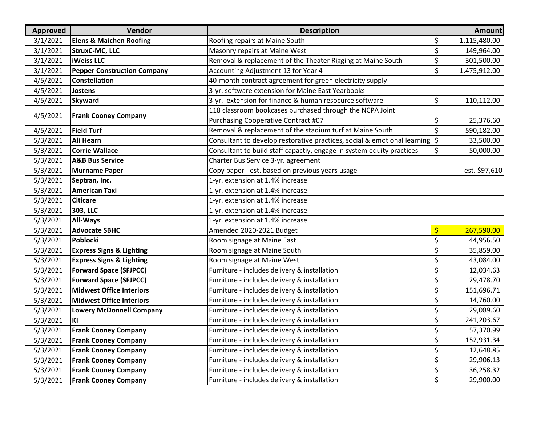| <b>Approved</b> | Vendor                              | <b>Description</b>                                                                     |         | <b>Amount</b> |
|-----------------|-------------------------------------|----------------------------------------------------------------------------------------|---------|---------------|
| 3/1/2021        | <b>Elens &amp; Maichen Roofing</b>  | Roofing repairs at Maine South                                                         | \$      | 1,115,480.00  |
| 3/1/2021        | StruxC-MC, LLC                      | Masonry repairs at Maine West                                                          | \$      | 149,964.00    |
| 3/1/2021        | <b>iWeiss LLC</b>                   | Removal & replacement of the Theater Rigging at Maine South                            | \$      | 301,500.00    |
| 3/1/2021        | <b>Pepper Construction Company</b>  | Accounting Adjustment 13 for Year 4                                                    | \$      | 1,475,912.00  |
| 4/5/2021        | <b>Constellation</b>                | 40-month contract agreement for green electricity supply                               |         |               |
| 4/5/2021        | <b>Jostens</b>                      | 3-yr. software extension for Maine East Yearbooks                                      |         |               |
| 4/5/2021        | <b>Skyward</b>                      | 3-yr. extension for finance & human resocurce software                                 | \$      | 110,112.00    |
| 4/5/2021        | <b>Frank Cooney Company</b>         | 118 classroom bookcases purchased through the NCPA Joint                               |         |               |
|                 |                                     | Purchasing Cooperative Contract #07                                                    | \$      | 25,376.60     |
| 4/5/2021        | <b>Field Turf</b>                   | Removal & replacement of the stadium turf at Maine South                               | \$      | 590,182.00    |
| 5/3/2021        | <b>Ali Hearn</b>                    | Consultant to develop restorative practices, social & emotional learning $\frac{1}{2}$ |         | 33,500.00     |
| 5/3/2021        | <b>Corrie Wallace</b>               | Consultant to build staff capactiy, engage in system equity practices                  | \$      | 50,000.00     |
| 5/3/2021        | <b>A&amp;B Bus Service</b>          | Charter Bus Service 3-yr. agreement                                                    |         |               |
| 5/3/2021        | <b>Murname Paper</b>                | Copy paper - est. based on previous years usage                                        |         | est. \$97,610 |
| 5/3/2021        | Septran, Inc.                       | 1-yr. extension at 1.4% increase                                                       |         |               |
| 5/3/2021        | <b>American Taxi</b>                | 1-yr. extension at 1.4% increase                                                       |         |               |
| 5/3/2021        | <b>Citicare</b>                     | 1-yr. extension at 1.4% increase                                                       |         |               |
| 5/3/2021        | 303, LLC                            | 1-yr. extension at 1.4% increase                                                       |         |               |
| 5/3/2021        | <b>All-Ways</b>                     | 1-yr. extension at 1.4% increase                                                       |         |               |
| 5/3/2021        | <b>Advocate SBHC</b>                | Amended 2020-2021 Budget                                                               | \$      | 267,590.00    |
| 5/3/2021        | Poblocki                            | Room signage at Maine East                                                             | \$      | 44,956.50     |
| 5/3/2021        | <b>Express Signs &amp; Lighting</b> | Room signage at Maine South                                                            | \$      | 35,859.00     |
| 5/3/2021        | <b>Express Signs &amp; Lighting</b> | Room signage at Maine West                                                             | \$      | 43,084.00     |
| 5/3/2021        | <b>Forward Space (SFJPCC)</b>       | Furniture - includes delivery & installation                                           | \$      | 12,034.63     |
| 5/3/2021        | <b>Forward Space (SFJPCC)</b>       | Furniture - includes delivery & installation                                           | \$      | 29,478.70     |
| 5/3/2021        | <b>Midwest Office Interiors</b>     | Furniture - includes delivery & installation                                           | \$      | 151,696.71    |
| 5/3/2021        | <b>Midwest Office Interiors</b>     | Furniture - includes delivery & installation                                           | \$      | 14,760.00     |
| 5/3/2021        | <b>Lowery McDonnell Company</b>     | Furniture - includes delivery & installation                                           | \$      | 29,089.60     |
| 5/3/2021        | KI                                  | Furniture - includes delivery & installation                                           | \$      | 241,203.67    |
| 5/3/2021        | <b>Frank Cooney Company</b>         | Furniture - includes delivery & installation                                           | $\zeta$ | 57,370.99     |
| 5/3/2021        | <b>Frank Cooney Company</b>         | Furniture - includes delivery & installation                                           | \$      | 152,931.34    |
| 5/3/2021        | <b>Frank Cooney Company</b>         | Furniture - includes delivery & installation                                           | \$      | 12,648.85     |
| 5/3/2021        | <b>Frank Cooney Company</b>         | Furniture - includes delivery & installation                                           | \$      | 29,906.13     |
| 5/3/2021        | <b>Frank Cooney Company</b>         | Furniture - includes delivery & installation                                           | \$      | 36,258.32     |
| 5/3/2021        | <b>Frank Cooney Company</b>         | Furniture - includes delivery & installation                                           | \$      | 29,900.00     |